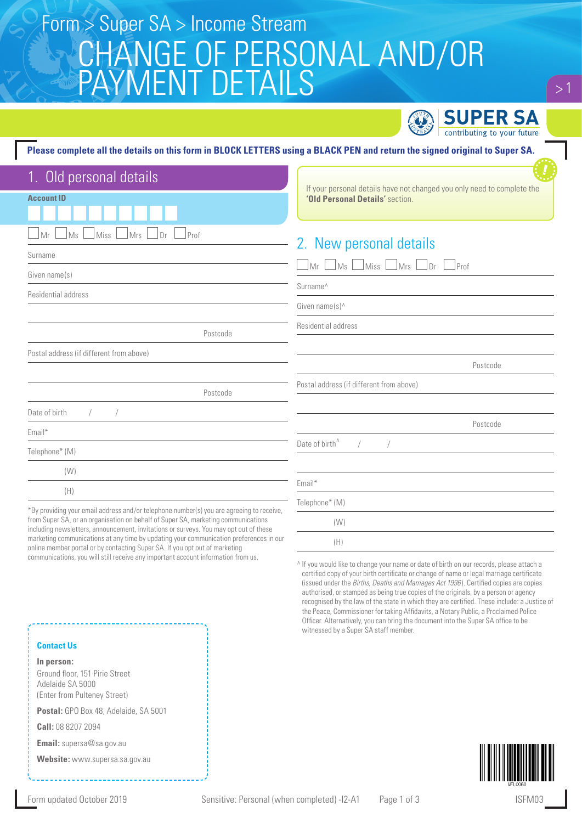# CHANGE OF PERSONAL AND/OR PAYMENT DETAILS Form > Super SA > Income Stream



 $>1$ 

#### **Please complete all the details on this form in BLOCK LETTERS using a BLACK PEN and return the signed original to Super SA.**

| 1. Old personal details                                                                  |                                                                                                            |
|------------------------------------------------------------------------------------------|------------------------------------------------------------------------------------------------------------|
| <b>Account ID</b>                                                                        | If your personal details have not changed you only need to complete the<br>'Old Personal Details' section. |
|                                                                                          |                                                                                                            |
| Prof<br>Ms<br>Miss<br>Mrs<br>Mr<br>Dr                                                    |                                                                                                            |
| Surname                                                                                  | 2. New personal details                                                                                    |
| Given name(s)                                                                            | $\Box$ Ms $\Box$<br>$\Box$ Miss $\Box$ Mrs $\Box$<br>JMr L<br>Dr<br> Prof                                  |
| Residential address                                                                      | Surname <sup>^</sup>                                                                                       |
|                                                                                          | Given name $(s)$                                                                                           |
| Postcode                                                                                 | Residential address                                                                                        |
| Postal address (if different from above)                                                 |                                                                                                            |
|                                                                                          | Postcode                                                                                                   |
| Postcode                                                                                 | Postal address (if different from above)                                                                   |
| Date of birth                                                                            |                                                                                                            |
| Email*                                                                                   | Postcode                                                                                                   |
| Telephone* (M)                                                                           | Date of birth <sup>^</sup>                                                                                 |
|                                                                                          |                                                                                                            |
| (W)                                                                                      | Email*                                                                                                     |
| (H)                                                                                      |                                                                                                            |
| *By providing your email address and/or telephone number(s) you are agreeing to receive, | Telephone* (M)                                                                                             |
| from Super SA, or an organisation on behalf of Super SA, marketing communications        | (W)                                                                                                        |

from Super SA, or an organisation on behalf of Super SA, marketing communications including newsletters, announcement, invitations or surveys. You may opt out of these marketing communications at any time by updating your communication preferences in our online member portal or by contacting Super SA. If you opt out of marketing communications, you will still receive any important account information from us.

^ If you would like to change your name or date of birth on our records, please attach a certified copy of your birth certificate or change of name or legal marriage certificate (issued under the *Births, Deaths and Marriages Act 1996* ). Certified copies are copies authorised, or stamped as being true copies of the originals, by a person or agency recognised by the law of the state in which they are certified. These include: a Justice of the Peace, Commissioner for taking Affidavits, a Notary Public, a Proclaimed Police Officer. Alternatively, you can bring the document into the Super SA office to be witnessed by a Super SA staff member.



#### **Contact Us**

**In person:** Ground floor, 151 Pirie Street Adelaide SA 5000 (Enter from Pulteney Street)

**Postal:** GPO Box 48, Adelaide, SA 5001

**Call:** 08 8207 2094

**Email:** supersa@sa.gov.au

**Website:** www.supersa.sa.gov.au

(H)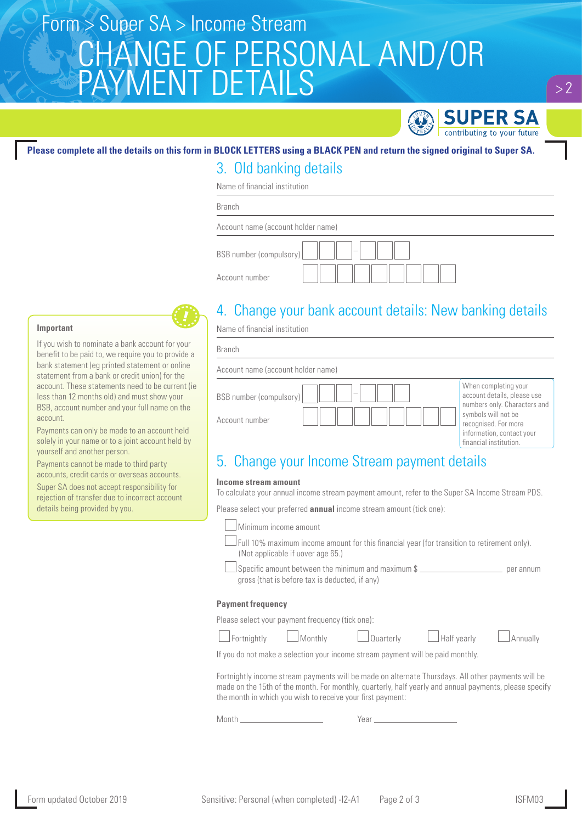# CHANGE OF PERSONAL AND/OR PAYMENT DETAILS Form > Super SA > Income Stream



### **Please complete all the details on this form in BLOCK LETTERS using a BLACK PEN and return the signed original to Super SA.**

### 3. Old banking details

Name of financial institution

Branch

| Account name (account holder name)                  |  |
|-----------------------------------------------------|--|
| BSB number (compulsory)<br>$\overline{\phantom{a}}$ |  |
| Account number                                      |  |

### 4. Change your bank account details: New banking details

Name of financial institution

| <b>Branch</b>                                                                |                                                                                                                                                                                           |
|------------------------------------------------------------------------------|-------------------------------------------------------------------------------------------------------------------------------------------------------------------------------------------|
| Account name (account holder name)                                           |                                                                                                                                                                                           |
| $\overline{\phantom{a}}$<br><b>BSB</b> number (compulsory)<br>Account number | When completing your<br>account details, please use<br>numbers only. Characters and<br>symbols will not be<br>recognised. For more<br>information, contact your<br>financial institution. |

### 5. Change your Income Stream payment details

#### **Income stream amount**

To calculate your annual income stream payment amount, refer to the Super SA Income Stream PDS.

Please select your preferred **annual** income stream amount (tick one):

|                                                                                                                                                                                                                                     | Minimum income amount                                      |                                                                                                                                                                                                                                |             |          |
|-------------------------------------------------------------------------------------------------------------------------------------------------------------------------------------------------------------------------------------|------------------------------------------------------------|--------------------------------------------------------------------------------------------------------------------------------------------------------------------------------------------------------------------------------|-------------|----------|
|                                                                                                                                                                                                                                     | (Not applicable if uover age 65.)                          | Full 10% maximum income amount for this financial year (for transition to retirement only).                                                                                                                                    |             |          |
|                                                                                                                                                                                                                                     | gross (that is before tax is deducted, if any)             | Specific amount between the minimum and maximum \$                                                                                                                                                                             |             |          |
| <b>Payment frequency</b>                                                                                                                                                                                                            |                                                            |                                                                                                                                                                                                                                |             |          |
|                                                                                                                                                                                                                                     | Please select your payment frequency (tick one):           |                                                                                                                                                                                                                                |             |          |
| Fortnightly                                                                                                                                                                                                                         | $\Box$ Monthly                                             | Quarterly                                                                                                                                                                                                                      | Half yearly | Annually |
|                                                                                                                                                                                                                                     |                                                            | If you do not make a selection your income stream payment will be paid monthly.                                                                                                                                                |             |          |
|                                                                                                                                                                                                                                     | the month in which you wish to receive your first payment: | Fortnightly income stream payments will be made on alternate Thursdays. All other payments will be<br>made on the 15th of the month. For monthly, quarterly, half yearly and annual payments, please specify                   |             |          |
| Month <b>Matter and Matter and Street</b> and Street and Street and Street and Street and Street and Street and Street and Street and Street and Street and Street and Street and Street and Street and Street and Street and Stree |                                                            | Year and the contract of the contract of the contract of the contract of the contract of the contract of the contract of the contract of the contract of the contract of the contract of the contract of the contract of the c |             |          |
|                                                                                                                                                                                                                                     |                                                            |                                                                                                                                                                                                                                |             |          |

#### **Important**

If you wish to nominate a bank account for your benefit to be paid to, we require you to provide a bank statement (eg printed statement or online statement from a bank or credit union) for the account. These statements need to be current (ie less than 12 months old) and must show your BSB, account number and your full name on the account.

Payments can only be made to an account held solely in your name or to a joint account held by yourself and another person.

Payments cannot be made to third party accounts, credit cards or overseas accounts.

Super SA does not accept responsibility for rejection of transfer due to incorrect account details being provided by you.